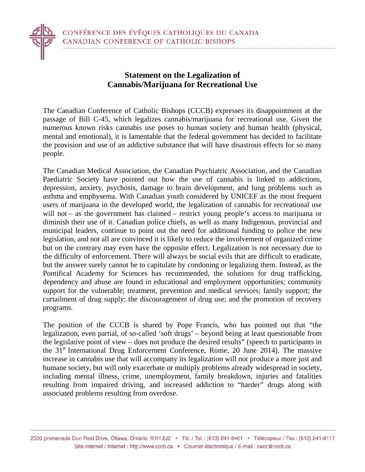

The Canadian Conference of Catholic Bishops (CCCB) expresses its disappointment at the passage of Bill C-45, which legalizes cannabis/marijuana for recreational use. Given the numerous known risks cannabis use poses to human society and human health (physical, mental and emotional), it is lamentable that the federal government has decided to facilitate the provision and use of an addictive substance that will have disastrous effects for so many people.

The Canadian Medical Association, the Canadian Psychiatric Association, and the Canadian Paediatric Society have pointed out how the use of cannabis is linked to addictions, depression, anxiety, psychosis, damage to brain development, and lung problems such as asthma and emphysema. With Canadian youth considered by UNICEF as the most frequent users of marijuana in the developed world, the legalization of cannabis for recreational use will not – as the government has claimed – restrict young people's access to marijuana or diminish their use of it. Canadian police chiefs, as well as many Indigenous, provincial and municipal leaders, continue to point out the need for additional funding to police the new legislation, and not all are convinced it is likely to reduce the involvement of organized crime but on the contrary may even have the opposite effect. Legalization is not necessary due to the difficulty of enforcement. There will always be social evils that are difficult to eradicate, but the answer surely cannot be to capitulate by condoning or legalizing them. Instead, as the Pontifical Academy for Sciences has recommended, the solutions for drug trafficking, dependency and abuse are found in educational and employment opportunities; community support for the vulnerable; treatment, prevention and medical services; family support; the curtailment of drug supply; the discouragement of drug use; and the promotion of recovery programs.

The position of the CCCB is shared by Pope Francis, who has pointed out that "the legalization, even partial, of so-called 'soft drugs' – beyond being at least questionable from the legislative point of view – does not produce the desired results" (speech to participants in the 31<sup>st</sup> International Drug Enforcement Conference, Rome, 20 June 2014). The massive increase in cannabis use that will accompany its legalization will not produce a more just and humane society, but will only exacerbate or multiply problems already widespread in society, including mental illness, crime, unemployment, family breakdown, injuries and fatalities resulting from impaired driving, and increased addiction to "harder" drugs along with associated problems resulting from overdose.